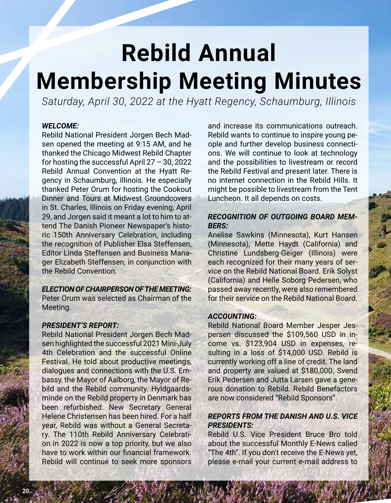# **Rebild Annual Membership Meeting Minutes**

*Saturday, April 30, 2022 at the Hyatt Regency, Schaumburg, Illinois*

#### *WELCOME:*

Rebild National President Jorgen Bech Madsen opened the meeting at 9:15 AM, and he thanked the Chicago Midwest Rebild Chapter for hosting the successful April 27 – 30, 2022 Rebild Annual Convention at the Hyatt Regency in Schaumburg, Illinois. He especially thanked Peter Orum for hosting the Cookout Dinner and Tours at Midwest Groundcovers in St. Charles, Illinois on Friday evening, April 29, and Jorgen said it meant a lot to him to attend The Danish Pioneer Newspaper's historic 150th Anniversary Celebration, including the recognition of Publisher Elsa Steffensen, Editor Linda Steffensen and Business Manager Elizabeth Steffensen, in conjunction with the Rebild Convention.

#### *ELECTION OF CHAIRPERSON OF THE MEETING:*

Peter Orum was selected as Chairman of the Meeting.

#### *PRESIDENT'S REPORT:*

Rebild National President Jorgen Bech Madsen highlighted the successful 2021 Mini-July 4th Celebration and the successful Online Festival. He told about productive meetings, dialogues and connections with the U.S. Embassy, the Mayor of Aalborg, the Mayor of Rebild and the Rebild community. Hyldgaardsminde on the Rebild property in Denmark has been refurbished. New Secretary General Helene Christensen has been hired. For a half year, Rebild was without a General Secretary. The 110th Rebild Anniversary Celebration in 2022 is now a top priority, but we also have to work within our financial framework. Rebild will continue to seek more sponsors

and increase its communications outreach. Rebild wants to continue to inspire young people and further develop business connections. We will continue to look at technology and the possibilities to livestream or record the Rebild Festival and present later. There is no internet connection in the Rebild Hills. It might be possible to livestream from the Tent Luncheon. It all depends on costs.

## *RECOGNITION OF OUTGOING BOARD MEM-BERS:*

Anelise Sawkins (Minnesota), Kurt Hansen (Minnesota), Mette Haydt (California) and Christine Lundsberg-Geiger (Illinois) were each recognized for their many years of service on the Rebild National Board. Erik Solyst (California) and Helle Soborg Pedersen, who passed away recently, were also remembered for their service on the Rebild National Board.

### *ACCOUNTING:*

Rebild National Board Member Jesper Jespersen discussed the \$109,560 USD in income vs. \$123,904 USD in expenses, resulting in a loss of \$14,000 USD. Rebild is currently working off a line of credit. The land and property are valued at \$180,000. Svend Erik Pedersen and Jutta Larsen gave a generous donation to Rebild. Rebild Benefactors are now considered "Rebild Sponsors".

## *REPORTS FROM THE DANISH AND U.S. VICE PRESIDENTS:*

Rebild U.S. Vice President Bruce Bro told about the successful Monthly E-News called "The 4th". If you don't receive the E-News yet, please e-mail your current e-mail address to